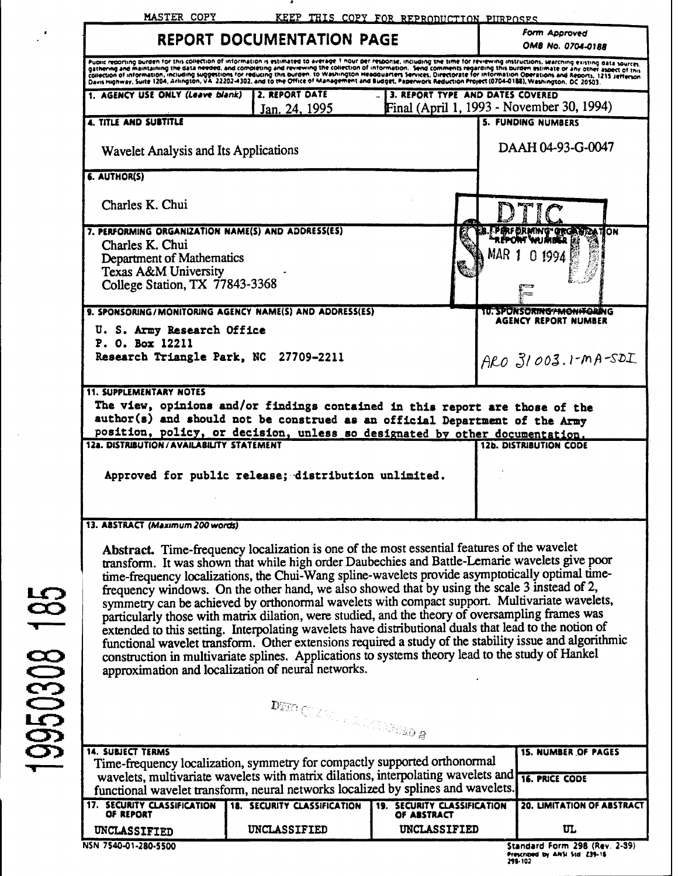|                                                                                                                                                                         | <b>REPORT DOCUMENTATION PAGE</b>                                                                                                                                                                                                                                                                                                                                                                                                                                                                                                                                                                                                                                                                                                                                                                                                                                         |                                                            | Form Approved<br><b>OMB No. 0704-0188</b>                                                                                                                                                                                                                                                                                                                                                                                                                                                                                                                        |
|-------------------------------------------------------------------------------------------------------------------------------------------------------------------------|--------------------------------------------------------------------------------------------------------------------------------------------------------------------------------------------------------------------------------------------------------------------------------------------------------------------------------------------------------------------------------------------------------------------------------------------------------------------------------------------------------------------------------------------------------------------------------------------------------------------------------------------------------------------------------------------------------------------------------------------------------------------------------------------------------------------------------------------------------------------------|------------------------------------------------------------|------------------------------------------------------------------------------------------------------------------------------------------------------------------------------------------------------------------------------------------------------------------------------------------------------------------------------------------------------------------------------------------------------------------------------------------------------------------------------------------------------------------------------------------------------------------|
|                                                                                                                                                                         | Davis Highway, Suite 1204, Arlington, VA. 22202-4302, and to the Office of Management and Budget, Paperwork Reduction Project (0704-0188), Washington, DC 20503.                                                                                                                                                                                                                                                                                                                                                                                                                                                                                                                                                                                                                                                                                                         |                                                            | Public reporting burden for this collection of information is estimated to average 1 nour per response, including the time for reviewing instructions, searching existing data sources,<br>gathering and maintaining the data needed, and completing and reviewing the collection of information. Send comments regarding this burden estimate or any other aspect of this<br>collection of information, including suggestions for reducing this burden. To Washington Headquarters Services, Directorate for information Operations and Reports, 1215 Jerferson |
| 1. AGENCY USE ONLY (Leave blank)                                                                                                                                        | 2. REPORT DATE<br>Jan. 24, 1995                                                                                                                                                                                                                                                                                                                                                                                                                                                                                                                                                                                                                                                                                                                                                                                                                                          | 3. REPORT TYPE AND DATES COVERED                           | Final (April 1, 1993 - November 30, 1994)                                                                                                                                                                                                                                                                                                                                                                                                                                                                                                                        |
| <b>4. TITLE AND SUBTITLE</b>                                                                                                                                            |                                                                                                                                                                                                                                                                                                                                                                                                                                                                                                                                                                                                                                                                                                                                                                                                                                                                          |                                                            | <b>5. FUNDING NUMBERS</b>                                                                                                                                                                                                                                                                                                                                                                                                                                                                                                                                        |
| <b>Wavelet Analysis and Its Applications</b>                                                                                                                            |                                                                                                                                                                                                                                                                                                                                                                                                                                                                                                                                                                                                                                                                                                                                                                                                                                                                          |                                                            | DAAH 04-93-G-0047                                                                                                                                                                                                                                                                                                                                                                                                                                                                                                                                                |
| 6. AUTHOR(S)                                                                                                                                                            |                                                                                                                                                                                                                                                                                                                                                                                                                                                                                                                                                                                                                                                                                                                                                                                                                                                                          |                                                            |                                                                                                                                                                                                                                                                                                                                                                                                                                                                                                                                                                  |
| Charles K. Chui                                                                                                                                                         |                                                                                                                                                                                                                                                                                                                                                                                                                                                                                                                                                                                                                                                                                                                                                                                                                                                                          |                                                            |                                                                                                                                                                                                                                                                                                                                                                                                                                                                                                                                                                  |
| 7. PERFORMING ORGANIZATION NAME(S) AND ADDRESS(ES)<br>Charles K. Chui<br>Department of Mathematics<br><b>Texas A&amp;M University</b><br>College Station, TX 77843-3368 |                                                                                                                                                                                                                                                                                                                                                                                                                                                                                                                                                                                                                                                                                                                                                                                                                                                                          |                                                            | <b>FPERFORMING ORGANIZATION</b><br>MAR<br>0 1994                                                                                                                                                                                                                                                                                                                                                                                                                                                                                                                 |
|                                                                                                                                                                         | 9. SPONSORING/MONITORING AGENCY NAME(S) AND ADDRESS(ES)                                                                                                                                                                                                                                                                                                                                                                                                                                                                                                                                                                                                                                                                                                                                                                                                                  |                                                            | <b>TU. SPONSORING "MONIFORING"</b>                                                                                                                                                                                                                                                                                                                                                                                                                                                                                                                               |
| U. S. Army Research Office<br>P. O. Box 12211                                                                                                                           |                                                                                                                                                                                                                                                                                                                                                                                                                                                                                                                                                                                                                                                                                                                                                                                                                                                                          |                                                            | <b>AGENCY REPORT NUMBER</b>                                                                                                                                                                                                                                                                                                                                                                                                                                                                                                                                      |
| Research Triangle Park, NC 27709-2211                                                                                                                                   |                                                                                                                                                                                                                                                                                                                                                                                                                                                                                                                                                                                                                                                                                                                                                                                                                                                                          |                                                            | $ARO$ $31003.1-MA-SDL$                                                                                                                                                                                                                                                                                                                                                                                                                                                                                                                                           |
|                                                                                                                                                                         | The view, opinions and/or findings contained in this report are those of the<br>author(s) and should not be construed as an official Department of the Army<br>position, policy, or decision, unless so designated by other documentation.                                                                                                                                                                                                                                                                                                                                                                                                                                                                                                                                                                                                                               |                                                            | <b>12b. DISTRIBUTION CODE</b>                                                                                                                                                                                                                                                                                                                                                                                                                                                                                                                                    |
|                                                                                                                                                                         | Approved for public release; distribution unlimited.                                                                                                                                                                                                                                                                                                                                                                                                                                                                                                                                                                                                                                                                                                                                                                                                                     |                                                            |                                                                                                                                                                                                                                                                                                                                                                                                                                                                                                                                                                  |
| <b>11. SUPPLEMENTARY NOTES</b><br><b>12a. DISTRIBUTION/AVAILABILITY STATEMENT</b><br>13. ABSTRACT (Maximum 200 words)                                                   |                                                                                                                                                                                                                                                                                                                                                                                                                                                                                                                                                                                                                                                                                                                                                                                                                                                                          |                                                            |                                                                                                                                                                                                                                                                                                                                                                                                                                                                                                                                                                  |
|                                                                                                                                                                         | Abstract. Time-frequency localization is one of the most essential features of the wavelet<br>transform. It was shown that while high order Daubechies and Battle-Lemarie wavelets give poor<br>time-frequency localizations, the Chui-Wang spline-wavelets provide asymptotically optimal time-<br>frequency windows. On the other hand, we also showed that by using the scale 3 instead of 2,<br>symmetry can be achieved by orthonormal wavelets with compact support. Multivariate wavelets,<br>particularly those with matrix dilation, were studied, and the theory of oversampling frames was<br>extended to this setting. Interpolating wavelets have distributional duals that lead to the notion of<br>construction in multivariate splines. Applications to systems theory lead to the study of Hankel<br>approximation and localization of neural networks. |                                                            | functional wavelet transform. Other extensions required a study of the stability issue and algorithmic                                                                                                                                                                                                                                                                                                                                                                                                                                                           |
|                                                                                                                                                                         |                                                                                                                                                                                                                                                                                                                                                                                                                                                                                                                                                                                                                                                                                                                                                                                                                                                                          |                                                            |                                                                                                                                                                                                                                                                                                                                                                                                                                                                                                                                                                  |
|                                                                                                                                                                         | $\text{DFLO} \subset \text{Cyl} \times \text{Cyl} \times \text{Cyl} \times \text{Cyl} \times \text{Cyl} \times \text{Cyl} \times \text{Cyl} \times \text{Cyl} \times \text{Cyl} \times \text{Cyl} \times \text{Cyl} \times \text{Cyl} \times \text{Cyl} \times \text{Cyl} \times \text{Cyl} \times \text{Cyl} \times \text{Cyl} \times \text{Cyl} \times \text{Cyl} \times \text{Cyl} \times \text{Cyl} \times \text{Cyl} \times \text{Cyl} \times \text{Cyl} \times \text{Cyl} \times \text{Cyl} \times \text{C$                                                                                                                                                                                                                                                                                                                                                        |                                                            |                                                                                                                                                                                                                                                                                                                                                                                                                                                                                                                                                                  |
|                                                                                                                                                                         | Time-frequency localization, symmetry for compactly supported orthonormal<br>wavelets, multivariate wavelets with matrix dilations, interpolating wavelets and                                                                                                                                                                                                                                                                                                                                                                                                                                                                                                                                                                                                                                                                                                           |                                                            | <b>15. NUMBER OF PAGES</b><br><b>16. PRICE CODE</b>                                                                                                                                                                                                                                                                                                                                                                                                                                                                                                              |
|                                                                                                                                                                         | functional wavelet transform, neural networks localized by splines and wavelets.                                                                                                                                                                                                                                                                                                                                                                                                                                                                                                                                                                                                                                                                                                                                                                                         |                                                            |                                                                                                                                                                                                                                                                                                                                                                                                                                                                                                                                                                  |
| <b>14. SUBJECT TERMS</b><br><b>17. SECURITY CLASSIFICATION</b><br>OF REPORT<br>UNCLASSIFIED                                                                             | <b>18. SECURITY CLASSIFICATION</b><br>UNCLASSIFIED                                                                                                                                                                                                                                                                                                                                                                                                                                                                                                                                                                                                                                                                                                                                                                                                                       | 19. SECURITY CLASSIFICATION<br>OF ABSTRACT<br>UNCLASSIFIED | 20. LIMITATION OF ABSTRACT<br>ա                                                                                                                                                                                                                                                                                                                                                                                                                                                                                                                                  |

19950308 185

298-102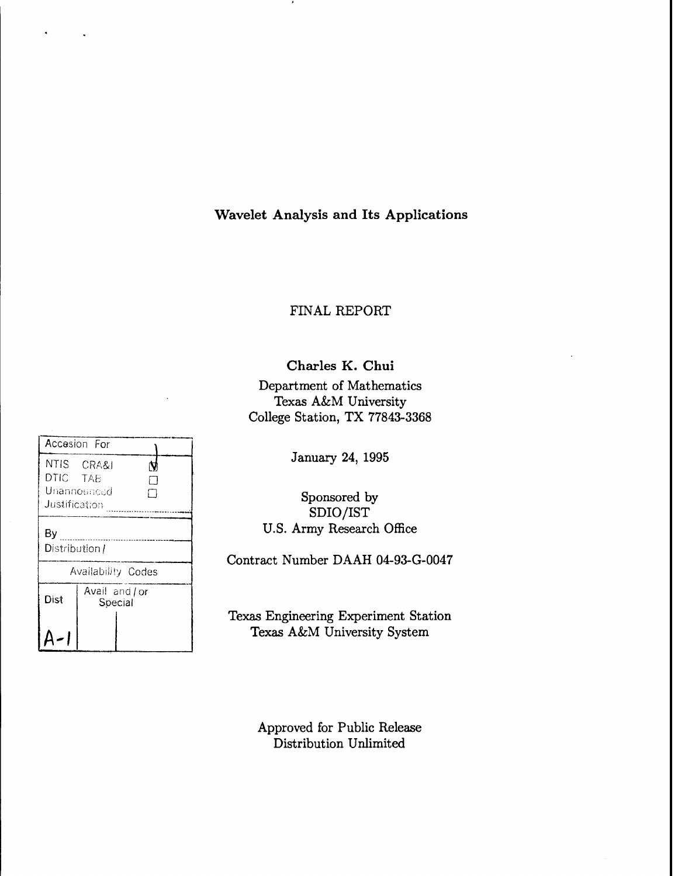# **Wavelet Analysis and Its Applications**

# FINAL REPORT

Charles **K. Chui**

Department of Mathematics Texas A&M University-College Station, TX 77843-3368

| Accesion For               |                           |  |  |  |  |
|----------------------------|---------------------------|--|--|--|--|
| DTIC TAB<br>Justification. | NTIS CRA&I<br>Unannounced |  |  |  |  |
|                            |                           |  |  |  |  |
| By                         |                           |  |  |  |  |
| Distribution /             |                           |  |  |  |  |
| Availability Codes         |                           |  |  |  |  |
| Dist                       | Avail and/or              |  |  |  |  |
|                            | Special                   |  |  |  |  |
|                            |                           |  |  |  |  |
|                            |                           |  |  |  |  |

January 24, 1995

Sponsored by SDIO/IST U.S. Army Research Office

Contract Number DAAH 04-93-G-0047

Texas Engineering Experiment Station Texas A&M University System

> Approved for Public Release Distribution Unlimited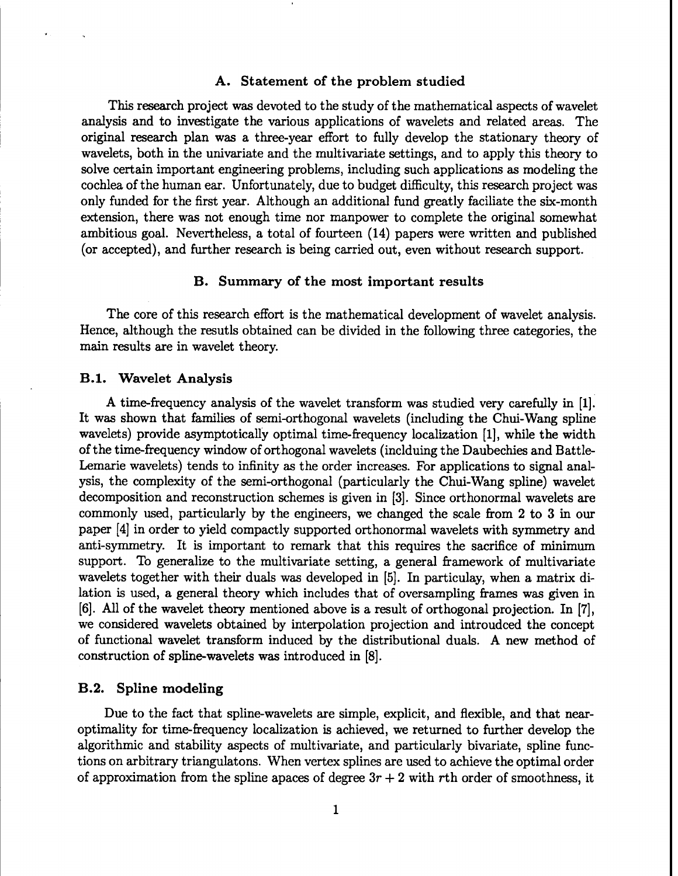# **A. Statement of the problem studied**

This research project was devoted to the study of the mathematical aspects of wavelet analysis and to investigate the various applications of wavelets and related areas. The original research plan was a three-year effort to fully develop the stationary theory of wavelets, both in the univariate and the multivariate settings, and to apply this theory to solve certain important engineering problems, including such applications as modeling the cochlea of the human ear. Unfortunately, due to budget difficulty, this research project was only funded for the first year. Although an additional fund greatly faciliate the six-month extension, there was not enough time nor manpower to complete the original somewhat ambitious goal. Nevertheless, a total of fourteen (14) papers were written and published (or accepted), and further research is being carried out, even without research support.

# **B. Summary of the most important results**

The core of this research effort is the mathematical development of wavelet analysis. Hence, although the resutls obtained can be divided in the following three categories, the main results are in wavelet theory.

#### **B.l. Wavelet Analysis**

**A** time-frequency analysis of the wavelet transform was studied very carefully in [1]. It was shown that families of semi-orthogonal wavelets (including the Chui-Wang spline wavelets) provide asymptotically optimal time-frequency localization [1], while the width ofthe time-frequency window of orthogonal wavelets (inclduing the Daubechies and Battle-Lemarie wavelets) tends to infinity as the order increases. For applications to signal analysis, the complexity of the semi-orthogonal (particularly the Chui-Wang spline) wavelet decomposition and reconstruction schemes is given in [3]. Since orthonormal wavelets are commonly used, particularly by the engineers, we changed the scale from 2 to 3 in our paper [4] in order to yield compactly supported orthonormal wavelets with symmetry and anti-symmetry. It is important to remark that this requires the sacrifice of minimum support. To generalize to the multivariate setting, a general framework of multivariate wavelets together with their duals was developed in [5]. In particulay, when a matrix dilation is used, a general theory which includes that of oversampling frames was given in [6]. All of the wavelet theory mentioned above is a result of orthogonal projection. In [7], we considered wavelets obtained by interpolation projection and introudced the concept of functional wavelet transform induced by the distributional duals. A new method of construction of spline-wavelets was introduced in [8].

### **B.2. Spline modeling**

Due to the fact that spline-wavelets are simple, explicit, and flexible, and that nearoptimality for time-frequency localization is achieved, we returned to further develop the algorithmic and stability aspects of multivariate, and particularly bivariate, spline functions on arbitrary triangulatons. When vertex splines are used to achieve the optimal order of approximation from the spline apaces of degree  $3r + 2$  with rth order of smoothness, it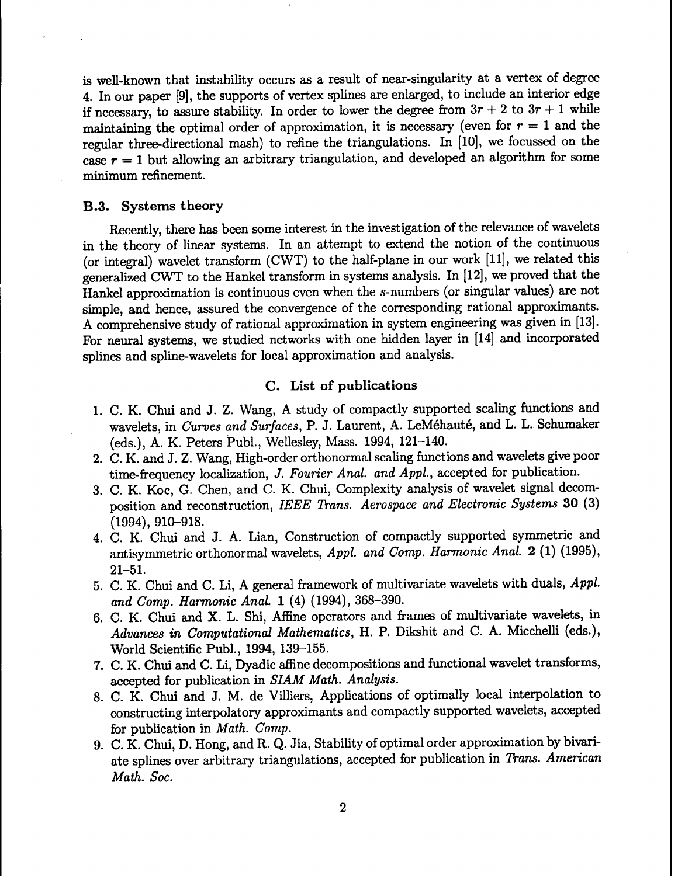is well-known that instability occurs as a result of near-singularity at a vertex of degree 4. In our paper [9], the supports of vertex splines are enlarged, to include an interior edge if necessary, to assure stability. In order to lower the degree from  $3r + 2$  to  $3r + 1$  while maintaining the optimal order of approximation, it is necessary (even for  $r = 1$  and the regular three-directional mash) to refine the triangulations. In [10], we focussed on the case  $r = 1$  but allowing an arbitrary triangulation, and developed an algorithm for some minimum refinement.

### B.3. Systems theory

Recently, there has been some interest in the investigation of the relevance of wavelets in the theory of linear systems. In an attempt to extend the notion of the continuous (or integral) wavelet transform (CWT) to the half-plane in our work [11], we related this generalized CWT to the Hankel transform in systems analysis. In [12], we proved that the Hankel approximation is continuous even when the s-numbers (or singular values) are not simple, and hence, assured the convergence of the corresponding rational approximants. A comprehensive study of rational approximation in system engineering was given in [13]. For neural systems, we studied networks with one hidden layer in [14] and incorporated splines and spline-wavelets for local approximation and analysis.

# C. List of publications

- 1. C. K. Chui and J. Z. Wang, A study of compactly supported scaling functions and wavelets, in *Curves and Surfaces,* P. J. Laurent, A. LeMehaute, and L. L. Schumaker (eds.), A. K. Peters Publ., Wellesley, Mass. 1994, 121-140.
- 2. C. K. and J. Z. Wang, High-order orthonormal scaling functions and wavelets give poor time-frequency localization, *J. Fourier Anal, and Appl.,* accepted for publication.
- 3. C. K. Koc, G. Chen, and C. K. Chui, Complexity analysis of wavelet signal decomposition and reconstruction, *IEEE Trans. Aerospace and Electronic Systems* 30 (3) (1994), 910-918.
- 4. C. K. Chui and J. A. Lian, Construction of compactly supported symmetric and antisymmetric orthonormal wavelets, *Appl. and Comp. Harmonic Anal.* 2 (1) (1995), 21-51.
- 5. C. K. Chui and C. Li, A general framework of multivariate wavelets with duals, *Appl. and Comp. Harmonic Anal.* 1 (4) (1994), 368-390.
- 6. C. K. Chui and X. L. Shi, Affine operators and frames of multivariate wavelets, in *Advances in Computational Mathematics,* H. P. Dikshit and C. A. Micchelli (eds.), World Scientific Publ., 1994, 139-155.
- 7. C. K. Chui and C. Li, Dyadic affine decompositions and functional wavelet transforms, accepted for publication in *SIAM Math. Analysis.*
- 8. C. K. Chui and J. M. de Villiers, Applications of optimally local interpolation to constructing interpolatory approximants and compactly supported wavelets, accepted for publication in *Math. Comp.*
- 9. C. K. Chui, D. Hong, and R. Q. Jia, Stability of optimal order approximation by bivariate splines over arbitrary triangulations, accepted for publication in *Trans. American Math. Soc.*